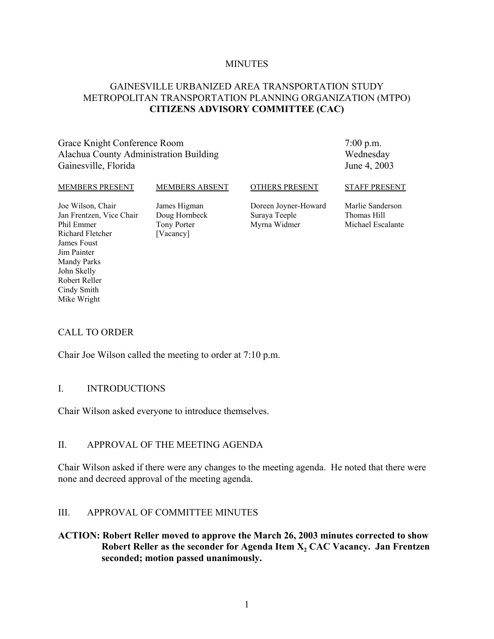#### **MINUTES**

### GAINESVILLE URBANIZED AREA TRANSPORTATION STUDY METROPOLITAN TRANSPORTATION PLANNING ORGANIZATION (MTPO) **CITIZENS ADVISORY COMMITTEE (CAC)**

#### Grace Knight Conference Room Alachua County Administration Building Gainesville, Florida

7:00 p.m. Wednesday June 4, 2003

#### MEMBERS PRESENT

#### MEMBERS ABSENT

#### OTHERS PRESENT

Joe Wilson, Chair Jan Frentzen, Vice Chair Phil Emmer Richard Fletcher James Foust Jim Painter Mandy Parks John Skelly Robert Reller Cindy Smith Mike Wright

James Higman Doug Hornbeck Tony Porter [Vacancy]

Doreen Joyner-Howard Suraya Teeple Myrna Widmer

STAFF PRESENT

Marlie Sanderson Thomas Hill Michael Escalante

#### CALL TO ORDER

Chair Joe Wilson called the meeting to order at 7:10 p.m.

#### I. INTRODUCTIONS

Chair Wilson asked everyone to introduce themselves.

#### II. APPROVAL OF THE MEETING AGENDA

Chair Wilson asked if there were any changes to the meeting agenda. He noted that there were none and decreed approval of the meeting agenda.

#### III. APPROVAL OF COMMITTEE MINUTES

#### **ACTION: Robert Reller moved to approve the March 26, 2003 minutes corrected to show** Robert Reller as the seconder for Agenda Item X<sub>2</sub> CAC Vacancy. Jan Frentzen **seconded; motion passed unanimously.**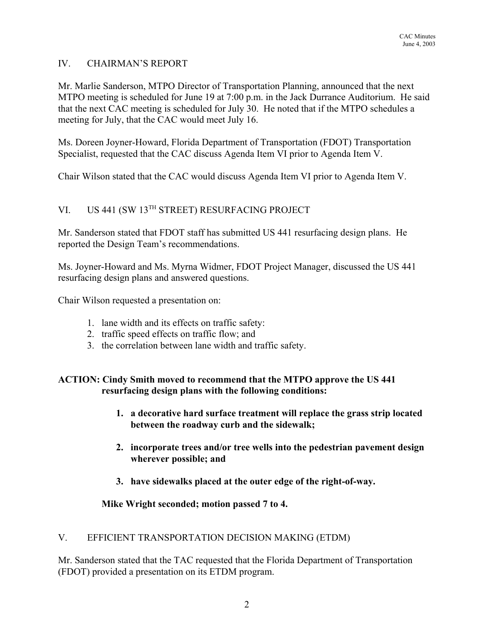#### IV. CHAIRMAN'S REPORT

Mr. Marlie Sanderson, MTPO Director of Transportation Planning, announced that the next MTPO meeting is scheduled for June 19 at 7:00 p.m. in the Jack Durrance Auditorium. He said that the next CAC meeting is scheduled for July 30. He noted that if the MTPO schedules a meeting for July, that the CAC would meet July 16.

Ms. Doreen Joyner-Howard, Florida Department of Transportation (FDOT) Transportation Specialist, requested that the CAC discuss Agenda Item VI prior to Agenda Item V.

Chair Wilson stated that the CAC would discuss Agenda Item VI prior to Agenda Item V.

# VI. US 441 (SW 13TH STREET) RESURFACING PROJECT

Mr. Sanderson stated that FDOT staff has submitted US 441 resurfacing design plans. He reported the Design Team's recommendations.

Ms. Joyner-Howard and Ms. Myrna Widmer, FDOT Project Manager, discussed the US 441 resurfacing design plans and answered questions.

Chair Wilson requested a presentation on:

- 1. lane width and its effects on traffic safety:
- 2. traffic speed effects on traffic flow; and
- 3. the correlation between lane width and traffic safety.

### **ACTION: Cindy Smith moved to recommend that the MTPO approve the US 441 resurfacing design plans with the following conditions:**

- **1. a decorative hard surface treatment will replace the grass strip located between the roadway curb and the sidewalk;**
- **2. incorporate trees and/or tree wells into the pedestrian pavement design wherever possible; and**
- **3. have sidewalks placed at the outer edge of the right-of-way.**

#### **Mike Wright seconded; motion passed 7 to 4.**

#### V. EFFICIENT TRANSPORTATION DECISION MAKING (ETDM)

Mr. Sanderson stated that the TAC requested that the Florida Department of Transportation (FDOT) provided a presentation on its ETDM program.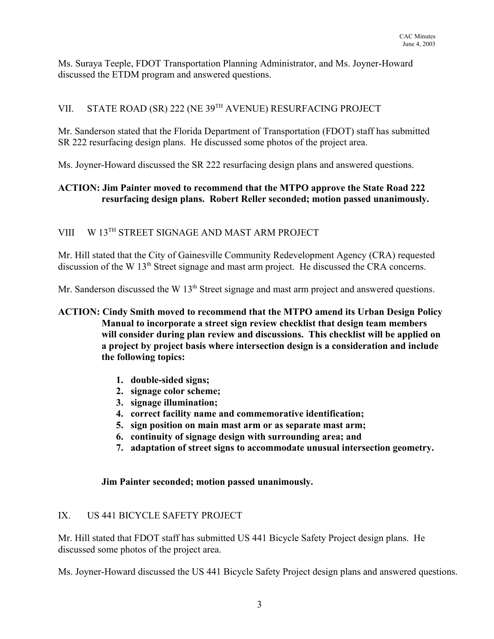Ms. Suraya Teeple, FDOT Transportation Planning Administrator, and Ms. Joyner-Howard discussed the ETDM program and answered questions.

# VII. STATE ROAD (SR) 222 (NE 39TH AVENUE) RESURFACING PROJECT

Mr. Sanderson stated that the Florida Department of Transportation (FDOT) staff has submitted SR 222 resurfacing design plans. He discussed some photos of the project area.

Ms. Joyner-Howard discussed the SR 222 resurfacing design plans and answered questions.

## **ACTION: Jim Painter moved to recommend that the MTPO approve the State Road 222 resurfacing design plans. Robert Reller seconded; motion passed unanimously.**

## VIII W 13TH STREET SIGNAGE AND MAST ARM PROJECT

Mr. Hill stated that the City of Gainesville Community Redevelopment Agency (CRA) requested discussion of the W 13<sup>th</sup> Street signage and mast arm project. He discussed the CRA concerns.

Mr. Sanderson discussed the W 13<sup>th</sup> Street signage and mast arm project and answered questions.

### **ACTION: Cindy Smith moved to recommend that the MTPO amend its Urban Design Policy Manual to incorporate a street sign review checklist that design team members will consider during plan review and discussions. This checklist will be applied on a project by project basis where intersection design is a consideration and include the following topics:**

- **1. double-sided signs;**
- **2. signage color scheme;**
- **3. signage illumination;**
- **4. correct facility name and commemorative identification;**
- **5. sign position on main mast arm or as separate mast arm;**
- **6. continuity of signage design with surrounding area; and**
- **7. adaptation of street signs to accommodate unusual intersection geometry.**

### **Jim Painter seconded; motion passed unanimously.**

## IX. US 441 BICYCLE SAFETY PROJECT

Mr. Hill stated that FDOT staff has submitted US 441 Bicycle Safety Project design plans. He discussed some photos of the project area.

Ms. Joyner-Howard discussed the US 441 Bicycle Safety Project design plans and answered questions.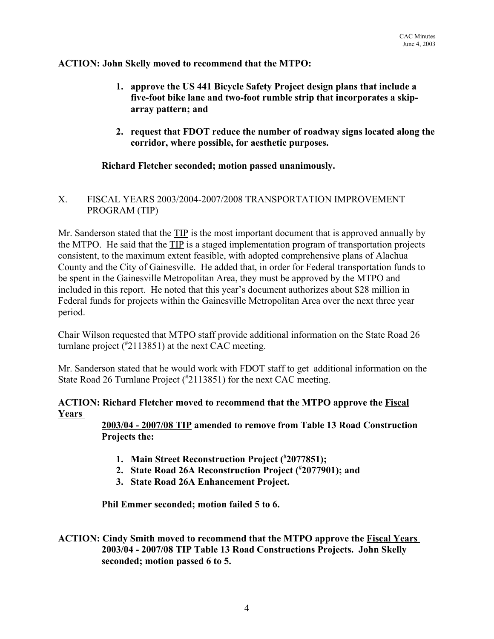#### **ACTION: John Skelly moved to recommend that the MTPO:**

- **1. approve the US 441 Bicycle Safety Project design plans that include a five-foot bike lane and two-foot rumble strip that incorporates a skiparray pattern; and**
- **2. request that FDOT reduce the number of roadway signs located along the corridor, where possible, for aesthetic purposes.**

### **Richard Fletcher seconded; motion passed unanimously.**

### X. FISCAL YEARS 2003/2004-2007/2008 TRANSPORTATION IMPROVEMENT PROGRAM (TIP)

Mr. Sanderson stated that the TIP is the most important document that is approved annually by the MTPO. He said that the TIP is a staged implementation program of transportation projects consistent, to the maximum extent feasible, with adopted comprehensive plans of Alachua County and the City of Gainesville. He added that, in order for Federal transportation funds to be spent in the Gainesville Metropolitan Area, they must be approved by the MTPO and included in this report. He noted that this year's document authorizes about \$28 million in Federal funds for projects within the Gainesville Metropolitan Area over the next three year period.

Chair Wilson requested that MTPO staff provide additional information on the State Road 26 turnlane project (# 2113851) at the next CAC meeting.

Mr. Sanderson stated that he would work with FDOT staff to get additional information on the State Road 26 Turnlane Project (#2113851) for the next CAC meeting.

### **ACTION: Richard Fletcher moved to recommend that the MTPO approve the Fiscal Years**

**2003/04 - 2007/08 TIP amended to remove from Table 13 Road Construction Projects the:**

- **1. Main Street Reconstruction Project (# 2077851);**
- **2. State Road 26A Reconstruction Project (# 2077901); and**
- **3. State Road 26A Enhancement Project.**

**Phil Emmer seconded; motion failed 5 to 6.**

### **ACTION: Cindy Smith moved to recommend that the MTPO approve the Fiscal Years 2003/04 - 2007/08 TIP Table 13 Road Constructions Projects. John Skelly seconded; motion passed 6 to 5.**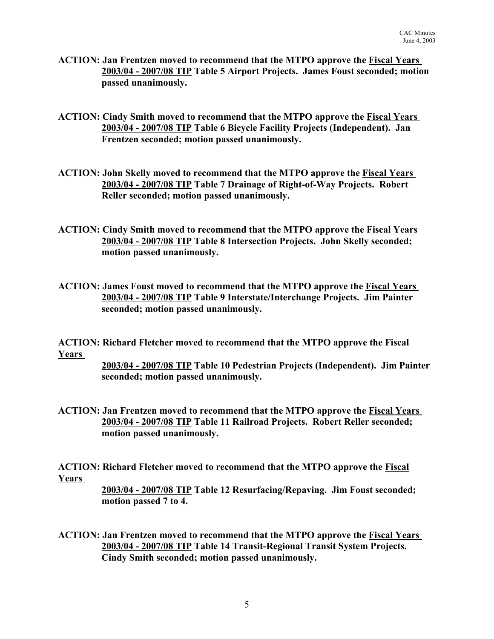- **ACTION: Jan Frentzen moved to recommend that the MTPO approve the Fiscal Years 2003/04 - 2007/08 TIP Table 5 Airport Projects. James Foust seconded; motion passed unanimously.**
- **ACTION: Cindy Smith moved to recommend that the MTPO approve the Fiscal Years 2003/04 - 2007/08 TIP Table 6 Bicycle Facility Projects (Independent). Jan Frentzen seconded; motion passed unanimously.**
- **ACTION: John Skelly moved to recommend that the MTPO approve the Fiscal Years 2003/04 - 2007/08 TIP Table 7 Drainage of Right-of-Way Projects. Robert Reller seconded; motion passed unanimously.**
- **ACTION: Cindy Smith moved to recommend that the MTPO approve the Fiscal Years 2003/04 - 2007/08 TIP Table 8 Intersection Projects. John Skelly seconded; motion passed unanimously.**
- **ACTION: James Foust moved to recommend that the MTPO approve the Fiscal Years 2003/04 - 2007/08 TIP Table 9 Interstate/Interchange Projects. Jim Painter seconded; motion passed unanimously.**

**ACTION: Richard Fletcher moved to recommend that the MTPO approve the Fiscal Years** 

> **2003/04 - 2007/08 TIP Table 10 Pedestrian Projects (Independent). Jim Painter seconded; motion passed unanimously.**

**ACTION: Jan Frentzen moved to recommend that the MTPO approve the Fiscal Years 2003/04 - 2007/08 TIP Table 11 Railroad Projects. Robert Reller seconded; motion passed unanimously.**

**ACTION: Richard Fletcher moved to recommend that the MTPO approve the Fiscal Years** 

> **2003/04 - 2007/08 TIP Table 12 Resurfacing/Repaving. Jim Foust seconded; motion passed 7 to 4.**

**ACTION: Jan Frentzen moved to recommend that the MTPO approve the Fiscal Years 2003/04 - 2007/08 TIP Table 14 Transit-Regional Transit System Projects. Cindy Smith seconded; motion passed unanimously.**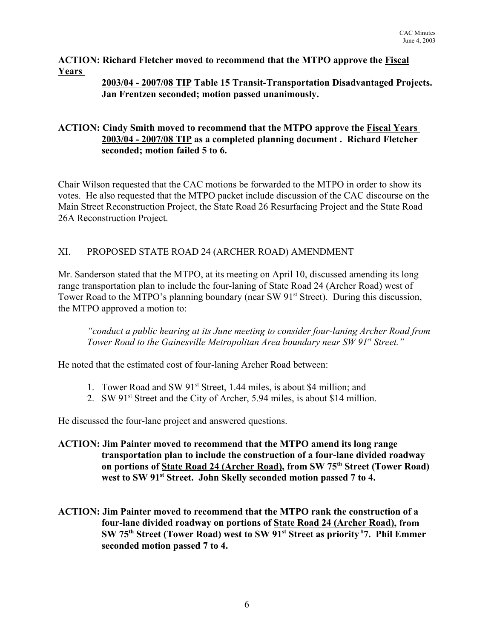**ACTION: Richard Fletcher moved to recommend that the MTPO approve the Fiscal Years** 

### **2003/04 - 2007/08 TIP Table 15 Transit-Transportation Disadvantaged Projects. Jan Frentzen seconded; motion passed unanimously.**

### **ACTION: Cindy Smith moved to recommend that the MTPO approve the Fiscal Years 2003/04 - 2007/08 TIP as a completed planning document . Richard Fletcher seconded; motion failed 5 to 6.**

Chair Wilson requested that the CAC motions be forwarded to the MTPO in order to show its votes. He also requested that the MTPO packet include discussion of the CAC discourse on the Main Street Reconstruction Project, the State Road 26 Resurfacing Project and the State Road 26A Reconstruction Project.

## XI. PROPOSED STATE ROAD 24 (ARCHER ROAD) AMENDMENT

Mr. Sanderson stated that the MTPO, at its meeting on April 10, discussed amending its long range transportation plan to include the four-laning of State Road 24 (Archer Road) west of Tower Road to the MTPO's planning boundary (near SW 91<sup>st</sup> Street). During this discussion, the MTPO approved a motion to:

*"conduct a public hearing at its June meeting to consider four-laning Archer Road from Tower Road to the Gainesville Metropolitan Area boundary near SW 91<sup>st</sup> Street."* 

He noted that the estimated cost of four-laning Archer Road between:

- 1. Tower Road and SW 91<sup>st</sup> Street, 1.44 miles, is about \$4 million; and
- 2. SW 91<sup>st</sup> Street and the City of Archer, 5.94 miles, is about \$14 million.

He discussed the four-lane project and answered questions.

- **ACTION: Jim Painter moved to recommend that the MTPO amend its long range transportation plan to include the construction of a four-lane divided roadway on portions of State Road 24 (Archer Road), from SW 75th Street (Tower Road)** west to SW 91<sup>st</sup> Street. John Skelly seconded motion passed 7 to 4.
- **ACTION: Jim Painter moved to recommend that the MTPO rank the construction of a four-lane divided roadway on portions of State Road 24 (Archer Road), from SW 75th Street (Tower Road) west to SW 91st Street as priority #7. Phil Emmer seconded motion passed 7 to 4.**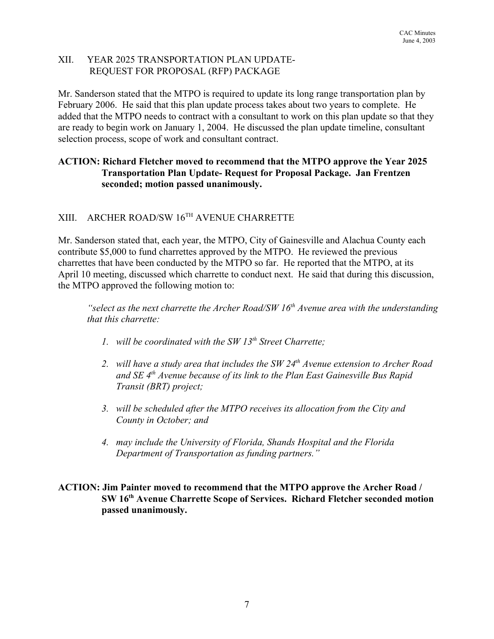### XII. YEAR 2025 TRANSPORTATION PLAN UPDATE- REQUEST FOR PROPOSAL (RFP) PACKAGE

Mr. Sanderson stated that the MTPO is required to update its long range transportation plan by February 2006. He said that this plan update process takes about two years to complete. He added that the MTPO needs to contract with a consultant to work on this plan update so that they are ready to begin work on January 1, 2004. He discussed the plan update timeline, consultant selection process, scope of work and consultant contract.

### **ACTION: Richard Fletcher moved to recommend that the MTPO approve the Year 2025 Transportation Plan Update- Request for Proposal Package. Jan Frentzen seconded; motion passed unanimously.**

# XIII. ARCHER ROAD/SW 16TH AVENUE CHARRETTE

Mr. Sanderson stated that, each year, the MTPO, City of Gainesville and Alachua County each contribute \$5,000 to fund charrettes approved by the MTPO. He reviewed the previous charrettes that have been conducted by the MTPO so far. He reported that the MTPO, at its April 10 meeting, discussed which charrette to conduct next. He said that during this discussion, the MTPO approved the following motion to:

*"select as the next charrette the Archer Road/SW 16<sup>th</sup> Avenue area with the understanding that this charrette:*

- *1. will be coordinated with the SW 13th Street Charrette;*
- 2. will have a study area that includes the SW 24<sup>th</sup> Avenue extension to Archer Road *and SE 4th Avenue because of its link to the Plan East Gainesville Bus Rapid Transit (BRT) project;*
- *3. will be scheduled after the MTPO receives its allocation from the City and County in October; and*
- *4. may include the University of Florida, Shands Hospital and the Florida Department of Transportation as funding partners."*

### **ACTION: Jim Painter moved to recommend that the MTPO approve the Archer Road / SW 16th Avenue Charrette Scope of Services. Richard Fletcher seconded motion passed unanimously.**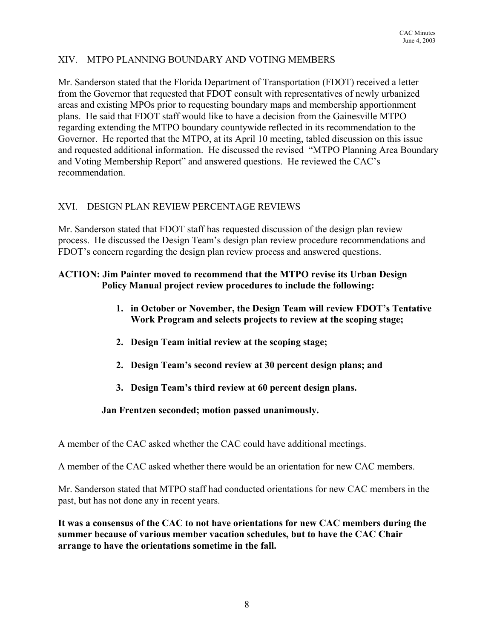## XIV. MTPO PLANNING BOUNDARY AND VOTING MEMBERS

Mr. Sanderson stated that the Florida Department of Transportation (FDOT) received a letter from the Governor that requested that FDOT consult with representatives of newly urbanized areas and existing MPOs prior to requesting boundary maps and membership apportionment plans. He said that FDOT staff would like to have a decision from the Gainesville MTPO regarding extending the MTPO boundary countywide reflected in its recommendation to the Governor. He reported that the MTPO, at its April 10 meeting, tabled discussion on this issue and requested additional information. He discussed the revised "MTPO Planning Area Boundary and Voting Membership Report" and answered questions. He reviewed the CAC's recommendation.

### XVI. DESIGN PLAN REVIEW PERCENTAGE REVIEWS

Mr. Sanderson stated that FDOT staff has requested discussion of the design plan review process. He discussed the Design Team's design plan review procedure recommendations and FDOT's concern regarding the design plan review process and answered questions.

### **ACTION: Jim Painter moved to recommend that the MTPO revise its Urban Design Policy Manual project review procedures to include the following:**

- **1. in October or November, the Design Team will review FDOT's Tentative Work Program and selects projects to review at the scoping stage;**
- **2. Design Team initial review at the scoping stage;**
- **2. Design Team's second review at 30 percent design plans; and**
- **3. Design Team's third review at 60 percent design plans.**

### **Jan Frentzen seconded; motion passed unanimously.**

A member of the CAC asked whether the CAC could have additional meetings.

A member of the CAC asked whether there would be an orientation for new CAC members.

Mr. Sanderson stated that MTPO staff had conducted orientations for new CAC members in the past, but has not done any in recent years.

**It was a consensus of the CAC to not have orientations for new CAC members during the summer because of various member vacation schedules, but to have the CAC Chair arrange to have the orientations sometime in the fall.**